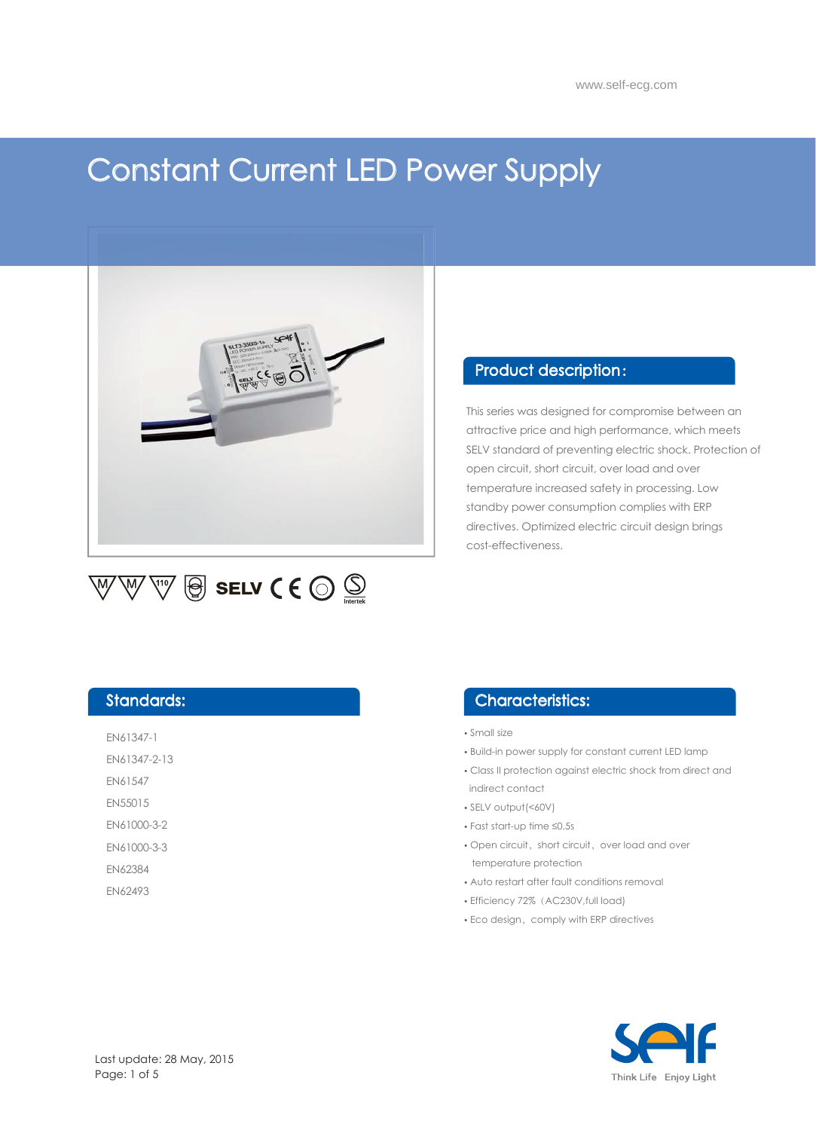# Constant Current LED Power Supply



#### $\overline{\mathbb{W}}\bigcirc \overline{\mathbb{Q}}$  SELV ( $\overline{\mathbb{C}}\bigcirc \overline{\mathbb{Q}}$  $\overline{\mathbb{W}}$  $\overline{\mathbb{W}}$

#### Product description:

This series was designed for compromise between an attractive price and high performance, which meets SELV standard of preventing electric shock. Protection of open circuit, short circuit, over load and over temperature increased safety in processing. Low standby power consumption complies with ERP directives. Optimized electric circuit design brings cost-effectiveness.

#### Standards:

EN61347-1 EN61347-2-13 EN61547

EN55015

EN61000-3-2

EN61000-3-3

EN62384

EN62493

#### Characteristics:

• Small size

- Build-in power supply for constant current LED lamp
- Class II protection against electric shock from direct and indirect contact
- SELV output(<60V)
- Fast start-up time ≤0.5s
- Open circuit, short circuit, over load and over temperature protection
- Auto restart after fault conditions removal
- Efficiency 72%(AC230V,full load)
- Eco design, comply with ERP directives

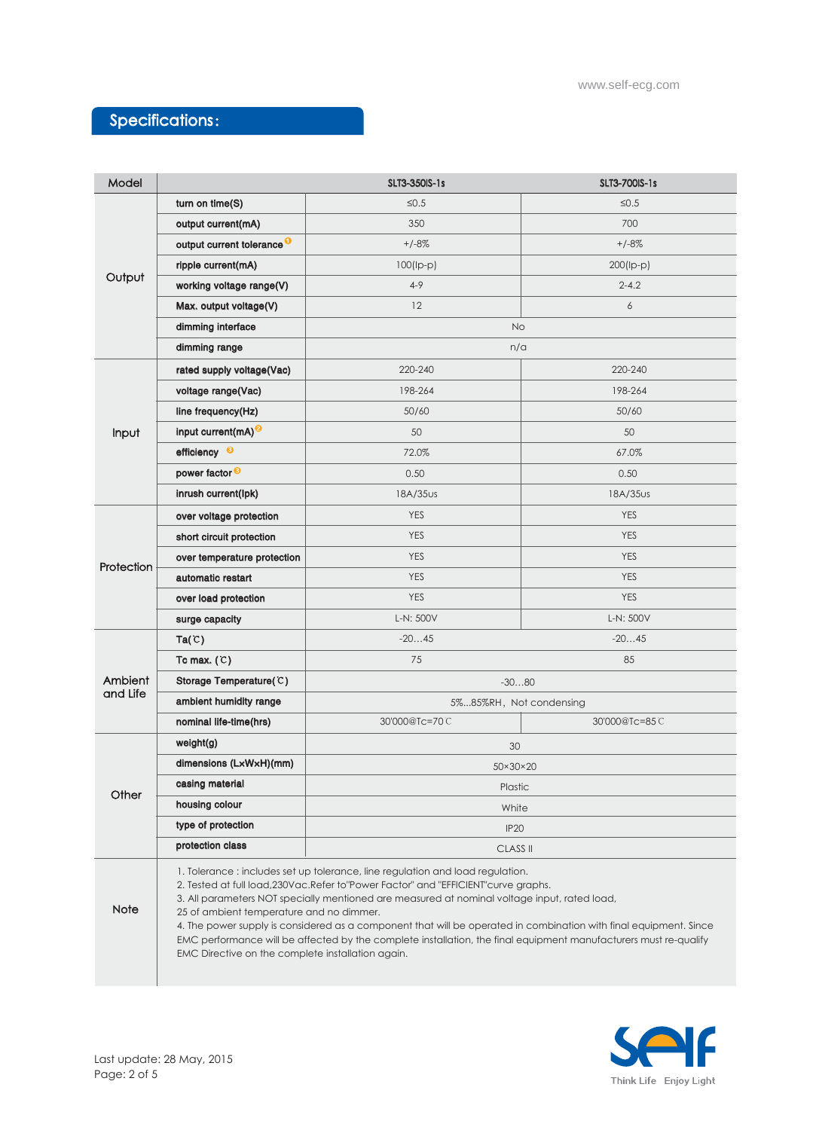# Specifications:

| Model               |                                                                                                                                                                                                                                                                                                                                                                                                                                                                                                                                                                                                                  | SLT3-350IS-1s           | SLT3-700IS-1s |
|---------------------|------------------------------------------------------------------------------------------------------------------------------------------------------------------------------------------------------------------------------------------------------------------------------------------------------------------------------------------------------------------------------------------------------------------------------------------------------------------------------------------------------------------------------------------------------------------------------------------------------------------|-------------------------|---------------|
| Output              | turn on time(S)                                                                                                                                                                                                                                                                                                                                                                                                                                                                                                                                                                                                  | $\leq 0.5$              | $\leq 0.5$    |
|                     | output current(mA)                                                                                                                                                                                                                                                                                                                                                                                                                                                                                                                                                                                               | 350                     | 700           |
|                     | output current tolerance <sup>O</sup>                                                                                                                                                                                                                                                                                                                                                                                                                                                                                                                                                                            | $+/-8%$                 | $+/-8%$       |
|                     | ripple current(mA)                                                                                                                                                                                                                                                                                                                                                                                                                                                                                                                                                                                               | $100$ (lp-p)            | $200$ (Ip-p)  |
|                     | working voltage range(V)                                                                                                                                                                                                                                                                                                                                                                                                                                                                                                                                                                                         | $4 - 9$                 | $2 - 4.2$     |
|                     | Max. output voltage(V)                                                                                                                                                                                                                                                                                                                                                                                                                                                                                                                                                                                           | 12                      | 6             |
|                     | dimming interface                                                                                                                                                                                                                                                                                                                                                                                                                                                                                                                                                                                                | <b>No</b>               |               |
|                     | dimming range                                                                                                                                                                                                                                                                                                                                                                                                                                                                                                                                                                                                    | n/a                     |               |
| Input               | rated supply voltage(Vac)                                                                                                                                                                                                                                                                                                                                                                                                                                                                                                                                                                                        | 220-240                 | 220-240       |
|                     | voltage range(Vac)                                                                                                                                                                                                                                                                                                                                                                                                                                                                                                                                                                                               | 198-264                 | 198-264       |
|                     | line frequency(Hz)                                                                                                                                                                                                                                                                                                                                                                                                                                                                                                                                                                                               | 50/60                   | 50/60         |
|                     | input current $(mA)^Q$                                                                                                                                                                                                                                                                                                                                                                                                                                                                                                                                                                                           | 50                      | 50            |
|                     | efficiency <sup>©</sup>                                                                                                                                                                                                                                                                                                                                                                                                                                                                                                                                                                                          | 72.0%                   | 67.0%         |
|                     | power factor <sup>®</sup>                                                                                                                                                                                                                                                                                                                                                                                                                                                                                                                                                                                        | 0.50                    | 0.50          |
|                     | inrush current(lpk)                                                                                                                                                                                                                                                                                                                                                                                                                                                                                                                                                                                              | 18A/35us                | 18A/35us      |
| Protection          | over voltage protection                                                                                                                                                                                                                                                                                                                                                                                                                                                                                                                                                                                          | <b>YES</b>              | <b>YES</b>    |
|                     | short circuit protection                                                                                                                                                                                                                                                                                                                                                                                                                                                                                                                                                                                         | <b>YES</b>              | <b>YES</b>    |
|                     | over temperature protection                                                                                                                                                                                                                                                                                                                                                                                                                                                                                                                                                                                      | <b>YES</b>              | <b>YES</b>    |
|                     | automatic restart                                                                                                                                                                                                                                                                                                                                                                                                                                                                                                                                                                                                | <b>YES</b>              | <b>YES</b>    |
|                     | over load protection                                                                                                                                                                                                                                                                                                                                                                                                                                                                                                                                                                                             | <b>YES</b>              | <b>YES</b>    |
|                     | surge capacity                                                                                                                                                                                                                                                                                                                                                                                                                                                                                                                                                                                                   | L-N: 500V               | L-N: 500V     |
| Ambient<br>and Life | Ta(C)                                                                                                                                                                                                                                                                                                                                                                                                                                                                                                                                                                                                            | $-2045$                 | $-2045$       |
|                     | Tc max. $(C)$                                                                                                                                                                                                                                                                                                                                                                                                                                                                                                                                                                                                    | 75                      | 85            |
|                     | Storage Temperature(C)                                                                                                                                                                                                                                                                                                                                                                                                                                                                                                                                                                                           | $-3080$                 |               |
|                     | ambient humidity range                                                                                                                                                                                                                                                                                                                                                                                                                                                                                                                                                                                           | 5%85%RH, Not condensing |               |
|                     | nominal life-time(hrs)                                                                                                                                                                                                                                                                                                                                                                                                                                                                                                                                                                                           | 30'000@Tc=70C           | 30'000@Tc=85C |
| Other               | weight(g)                                                                                                                                                                                                                                                                                                                                                                                                                                                                                                                                                                                                        | 30                      |               |
|                     | dimensions (LxWxH)(mm)                                                                                                                                                                                                                                                                                                                                                                                                                                                                                                                                                                                           | 50×30×20                |               |
|                     | casing material                                                                                                                                                                                                                                                                                                                                                                                                                                                                                                                                                                                                  | Plastic                 |               |
|                     | housing colour                                                                                                                                                                                                                                                                                                                                                                                                                                                                                                                                                                                                   | White                   |               |
|                     | type of protection                                                                                                                                                                                                                                                                                                                                                                                                                                                                                                                                                                                               | <b>IP20</b>             |               |
|                     | protection class                                                                                                                                                                                                                                                                                                                                                                                                                                                                                                                                                                                                 | <b>CLASS II</b>         |               |
| <b>Note</b>         | 1. Tolerance: includes set up tolerance, line regulation and load regulation.<br>2. Tested at full load, 230Vac. Refer to "Power Factor" and "EFFICIENT" curve graphs.<br>3. All parameters NOT specially mentioned are measured at nominal voltage input, rated load,<br>25 of ambient temperature and no dimmer.<br>4. The power supply is considered as a component that will be operated in combination with final equipment. Since<br>EMC performance will be affected by the complete installation, the final equipment manufacturers must re-qualify<br>EMC Directive on the complete installation again. |                         |               |

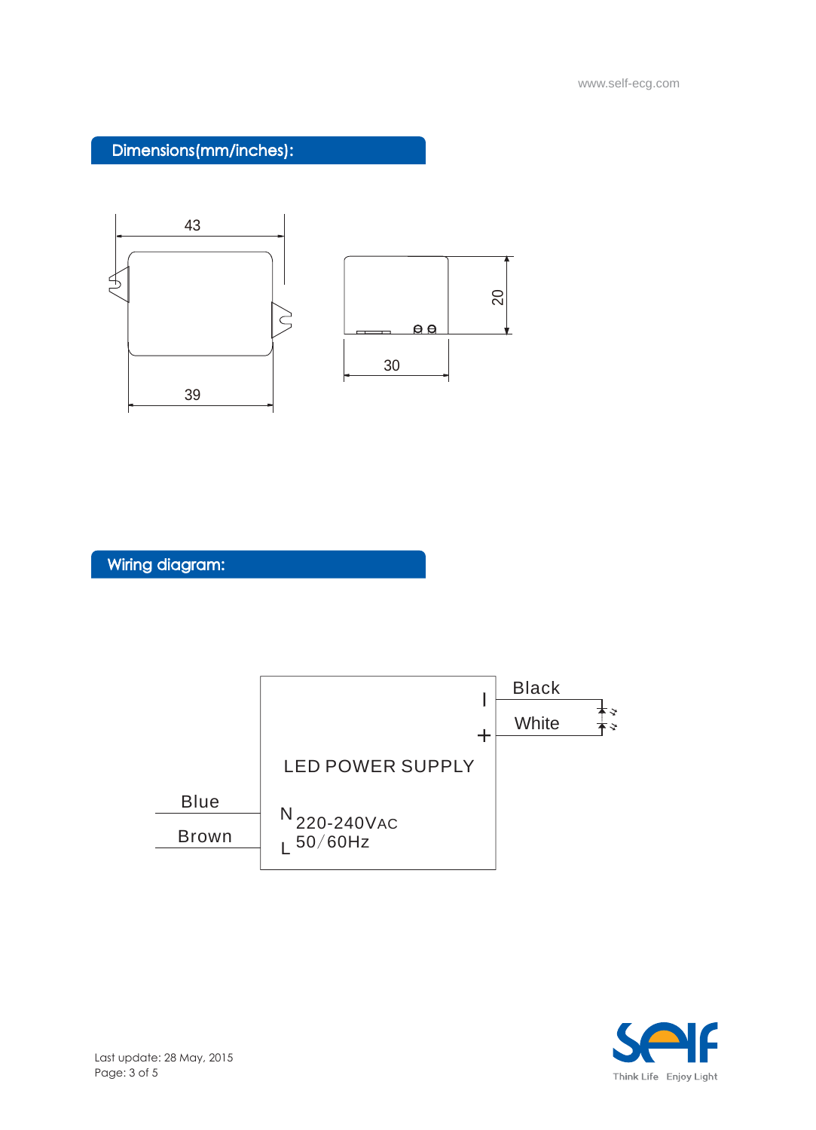### Dimensions(mm/inches):



Wiring diagram:



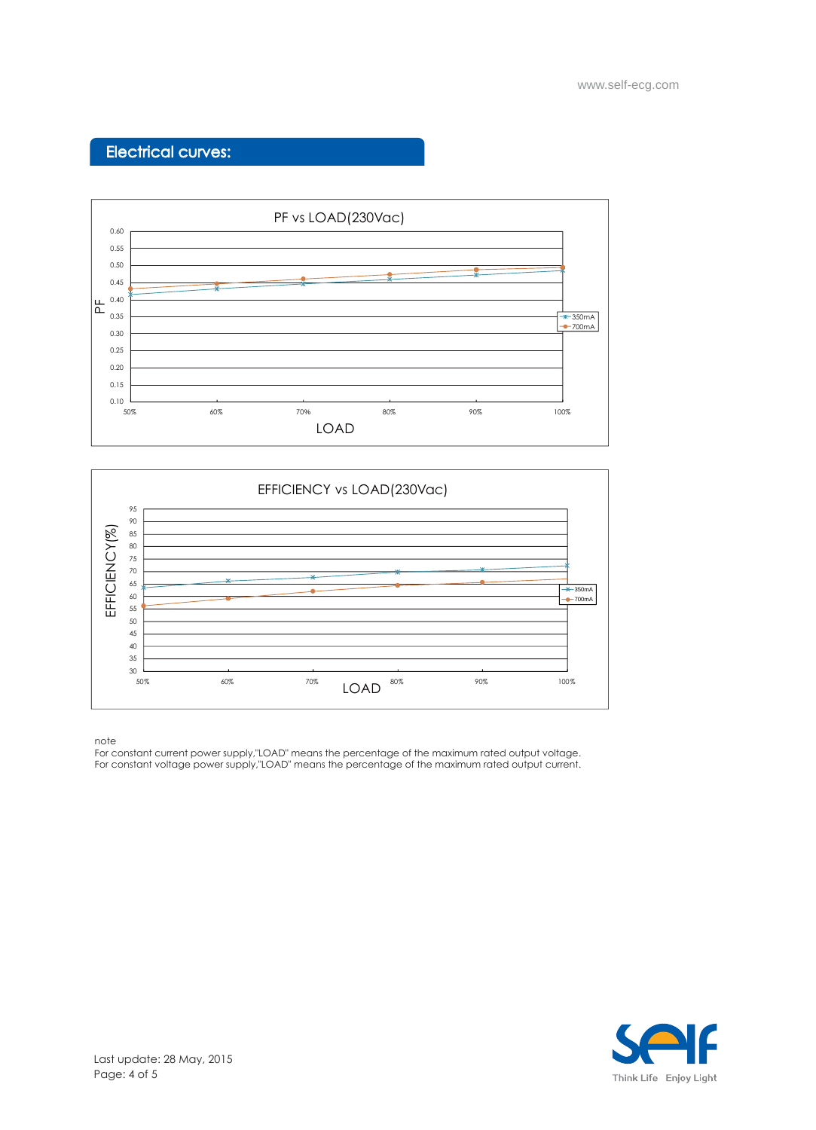## Electrical curves:





note

For constant current power supply,"LOAD" means the percentage of the maximum rated output voltage. For constant voltage power supply,"LOAD" means the percentage of the maximum rated output current.